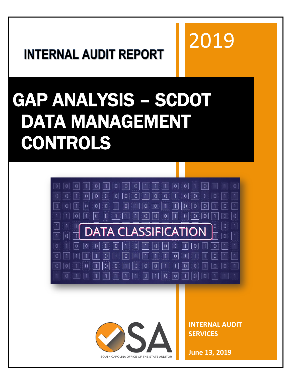# 2019

# **INTERNAL AUDIT REPORT**

# GAP ANALYSIS – SCDO T DATA MANAGEMENT CONTROLS



SOUTH CAROLINA OFFICE OF THE STATE AUDITOR

**June 13, 2019**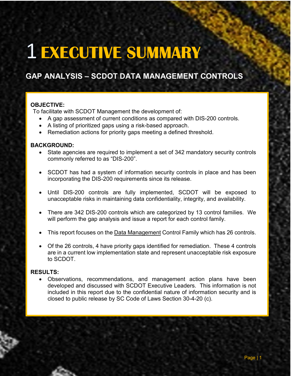# **EXECUTIVE SUMMARY**

## **GAP ANALYSIS – SCDOT DATA MANAGEMENT CONTROLS**

#### **OBJECTIVE:**

To facilitate with SCDOT Management the development of:

- A gap assessment of current conditions as compared with DIS-200 controls.
- A listing of prioritized gaps using a risk-based approach.
- Remediation actions for priority gaps meeting a defined threshold.

#### **BACKGROUND:**

- State agencies are required to implement a set of 342 mandatory security controls commonly referred to as "DIS-200".
- SCDOT has had a system of information security controls in place and has been incorporating the DIS-200 requirements since its release.
- Until DIS-200 controls are fully implemented, SCDOT will be exposed to unacceptable risks in maintaining data confidentiality, integrity, and availability.
- There are 342 DIS-200 controls which are categorized by 13 control families. We will perform the gap analysis and issue a report for each control family.
- This report focuses on the Data Management Control Family which has 26 controls.
- Of the 26 controls, 4 have priority gaps identified for remediation. These 4 controls are in a current low implementation state and represent unacceptable risk exposure to SCDOT.

#### **RESULTS:**

• Observations, recommendations, and management action plans have been developed and discussed with SCDOT Executive Leaders. This information is not included in this report due to the confidential nature of information security and is closed to public release by SC Code of Laws Section 30-4-20 (c).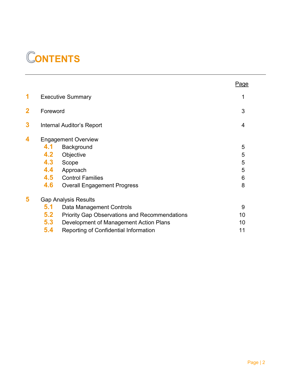# **ONTENTS**

|                         |                             |                                                      | Page |
|-------------------------|-----------------------------|------------------------------------------------------|------|
| 1                       |                             | <b>Executive Summary</b>                             | 1    |
| $\overline{\mathbf{2}}$ | Foreword                    |                                                      | 3    |
| 3                       |                             | Internal Auditor's Report                            | 4    |
| 4                       | <b>Engagement Overview</b>  |                                                      |      |
|                         | 4.1                         | Background                                           | 5    |
|                         | 4.2                         | Objective                                            | 5    |
|                         | 4.3                         | Scope                                                | 5    |
|                         | 4.4                         | Approach                                             | 5    |
|                         | 4.5                         | <b>Control Families</b>                              | 6    |
|                         | 4.6                         | <b>Overall Engagement Progress</b>                   | 8    |
| 5                       | <b>Gap Analysis Results</b> |                                                      |      |
|                         | 5.1                         | Data Management Controls                             | 9    |
|                         | 5.2                         | <b>Priority Gap Observations and Recommendations</b> | 10   |
|                         | 5.3                         | Development of Management Action Plans               | 10   |
|                         | 5.4                         | Reporting of Confidential Information                | 11   |
|                         |                             |                                                      |      |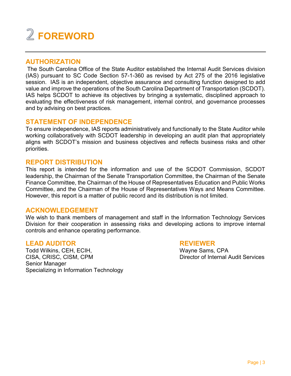# **FOREWORD**

#### **AUTHORIZATION**

The South Carolina Office of the State Auditor established the Internal Audit Services division (IAS) pursuant to SC Code Section 57-1-360 as revised by Act 275 of the 2016 legislative session. IAS is an independent, objective assurance and consulting function designed to add value and improve the operations of the South Carolina Department of Transportation (SCDOT). IAS helps SCDOT to achieve its objectives by bringing a systematic, disciplined approach to evaluating the effectiveness of risk management, internal control, and governance processes and by advising on best practices.

#### **STATEMENT OF INDEPENDENCE**

To ensure independence, IAS reports administratively and functionally to the State Auditor while working collaboratively with SCDOT leadership in developing an audit plan that appropriately aligns with SCDOT's mission and business objectives and reflects business risks and other priorities.

#### **REPORT DISTRIBUTION**

This report is intended for the information and use of the SCDOT Commission, SCDOT leadership, the Chairman of the Senate Transportation Committee, the Chairman of the Senate Finance Committee, the Chairman of the House of Representatives Education and Public Works Committee, and the Chairman of the House of Representatives Ways and Means Committee. However, this report is a matter of public record and its distribution is not limited.

#### **ACKNOWLEDGEMENT**

We wish to thank members of management and staff in the Information Technology Services Division for their cooperation in assessing risks and developing actions to improve internal controls and enhance operating performance.

#### **LEAD AUDITOR**

**REVIEWER**

Todd Wilkins, CEH, ECIH, CISA, CRISC, CISM, CPM Senior Manager Specializing in Information Technology Wayne Sams, CPA Director of Internal Audit Services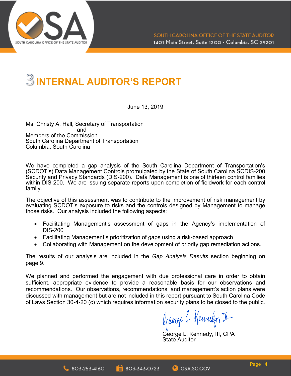



June 13, 2019

Ms. Christy A. Hall, Secretary of Transportation and Members of the Commission South Carolina Department of Transportation Columbia, South Carolina

We have completed a gap analysis of the South Carolina Department of Transportation's (SCDOT's) Data Management Controls promulgated by the State of South Carolina SCDIS-200 Security and Privacy Standards (DIS-200). Data Management is one of thirteen control families within DIS-200. We are issuing separate reports upon completion of fieldwork for each control family.

The objective of this assessment was to contribute to the improvement of risk management by evaluating SCDOT's exposure to risks and the controls designed by Management to manage those risks. Our analysis included the following aspects:

- Facilitating Management's assessment of gaps in the Agency's implementation of DIS-200
- Facilitating Management's prioritization of gaps using a risk-based approach
- Collaborating with Management on the development of priority gap remediation actions.

The results of our analysis are included in the *Gap Analysis Results* section beginning on page 9.

We planned and performed the engagement with due professional care in order to obtain sufficient, appropriate evidence to provide a reasonable basis for our observations and recommendations. Our observations, recommendations, and management's action plans were discussed with management but are not included in this report pursuant to South Carolina Code of Laws Section 30-4-20 (c) which requires information security plans to be closed to the public.

George & Kennedy, III

George L. Kennedy, III, CPA State Auditor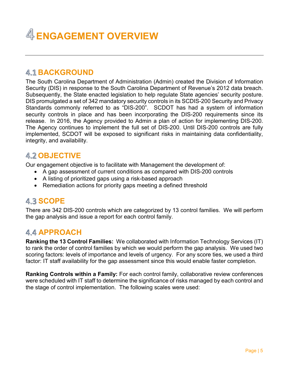# **ENGAGEMENT OVERVIEW**

## **4.1 BACKGROUND**

The South Carolina Department of Administration (Admin) created the Division of Information Security (DIS) in response to the South Carolina Department of Revenue's 2012 data breach. Subsequently, the State enacted legislation to help regulate State agencies' security posture. DIS promulgated a set of 342 mandatory security controls in its SCDIS-200 Security and Privacy Standards commonly referred to as "DIS-200". SCDOT has had a system of information security controls in place and has been incorporating the DIS-200 requirements since its release. In 2016, the Agency provided to Admin a plan of action for implementing DIS-200. The Agency continues to implement the full set of DIS-200. Until DIS-200 controls are fully implemented, SCDOT will be exposed to significant risks in maintaining data confidentiality, integrity, and availability.

## **4.2 OBJECTIVE**

Our engagement objective is to facilitate with Management the development of:

- A gap assessment of current conditions as compared with DIS-200 controls
- A listing of prioritized gaps using a risk-based approach
- Remediation actions for priority gaps meeting a defined threshold

## **4.3 SCOPE**

There are 342 DIS-200 controls which are categorized by 13 control families. We will perform the gap analysis and issue a report for each control family.

## 4.4 **APPROACH**

**Ranking the 13 Control Families:** We collaborated with Information Technology Services (IT) to rank the order of control families by which we would perform the gap analysis. We used two scoring factors: levels of importance and levels of urgency. For any score ties, we used a third factor: IT staff availability for the gap assessment since this would enable faster completion.

**Ranking Controls within a Family:** For each control family, collaborative review conferences were scheduled with IT staff to determine the significance of risks managed by each control and the stage of control implementation. The following scales were used: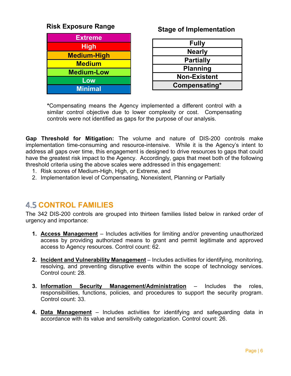#### **Risk Exposure Range**

| <b>Extreme</b>     |
|--------------------|
| <b>High</b>        |
| <b>Medium-High</b> |
| <b>Medium</b>      |
| <b>Medium-Low</b>  |
| Low                |
| <b>Minimal</b>     |

#### **Stage of Implementation**

| <b>Fully</b>        |
|---------------------|
| <b>Nearly</b>       |
| <b>Partially</b>    |
| <b>Planning</b>     |
| <b>Non-Existent</b> |
| Compensating*       |

**\***Compensating means the Agency implemented a different control with a similar control objective due to lower complexity or cost. Compensating controls were not identified as gaps for the purpose of our analysis.

**Gap Threshold for Mitigation:** The volume and nature of DIS-200 controls make implementation time-consuming and resource-intensive. While it is the Agency's intent to address all gaps over time, this engagement is designed to drive resources to gaps that could have the greatest risk impact to the Agency. Accordingly, gaps that meet both of the following threshold criteria using the above scales were addressed in this engagement:

- 1. Risk scores of Medium-High, High, or Extreme, and
- 2. Implementation level of Compensating, Nonexistent, Planning or Partially

## **4.5 CONTROL FAMILIES**

The 342 DIS-200 controls are grouped into thirteen families listed below in ranked order of urgency and importance:

- **1. Access Management** Includes activities for limiting and/or preventing unauthorized access by providing authorized means to grant and permit legitimate and approved access to Agency resources. Control count: 62.
- **2. Incident and Vulnerability Management** Includes activities for identifying, monitoring, resolving, and preventing disruptive events within the scope of technology services. Control count: 28.
- **3. Information Security Management/Administration** Includes the roles, responsibilities, functions, policies, and procedures to support the security program. Control count: 33.
- **4. Data Management** Includes activities for identifying and safeguarding data in accordance with its value and sensitivity categorization. Control count: 26.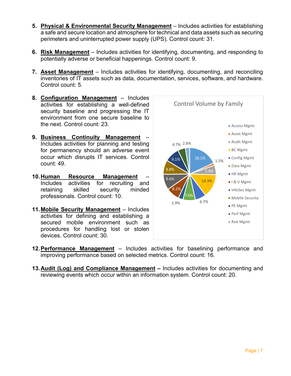- **5. Physical & Environmental Security Management** Includes activities for establishing a safe and secure location and atmosphere for technical and data assets such as securing perimeters and uninterrupted power supply (UPS). Control count: 31.
- **6. Risk Management** Includes activities for identifying, documenting, and responding to potentially adverse or beneficial happenings. Control count: 9.
- **7. Asset Management** Includes activities for identifying, documenting, and reconciling inventories of IT assets such as data, documentation, services, software, and hardware. Control count: 5.
- **8. Configuration Management** Includes activities for establishing a well-defined security baseline and progressing the IT environment from one secure baseline to the next. Control count: 23.
- **9. Business Continuity Management** Includes activities for planning and testing for permanency should an adverse event occur which disrupts IT services. Control count: 49.
- **10.Human Resource Management** Includes activities for recruiting and retaining skilled security minded professionals. Control count: 10.
- **11.Mobile Security Management** Includes activities for defining and establishing a secured mobile environment such as procedures for handling lost or stolen devices. Control count: 30.



- **12.Performance Management** Includes activities for baselining performance and improving performance based on selected metrics. Control count: 16.
- **13. Audit (Log) and Compliance Management –** Includes activities for documenting and reviewing events which occur within an information system. Control count: 20.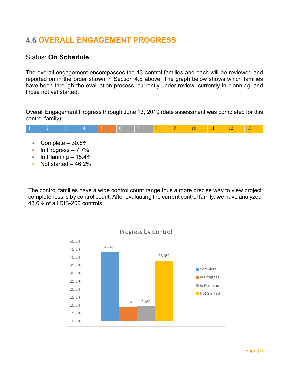# **OVERALL ENGAGEMENT PROGRESS**

#### Status: **On Schedule**

The overall engagement encompasses the 13 control families and each will be reviewed and reported on in the order shown in Section 4.5 above. The graph below shows which families have been through the evaluation process, currently under review, currently in planning, and those not yet started.

Overall Engagement Progress through June 13, 2019 (date assessment was completed for this control family):



- Complete 30.8%
- In Progress 7.7%
- In Planning  $-15.4\%$
- Not started 46.2%

The control families have a wide control count range thus a more precise way to view project completeness is by control count. After evaluating the current control family, we have analyzed 43.6% of all DIS-200 controls.

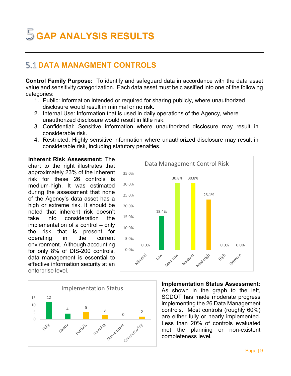# **GAP ANALYSIS RESULTS**

# **DATA MANAGMENT CONTROLS**

**Control Family Purpose:** To identify and safeguard data in accordance with the data asset value and sensitivity categorization. Each data asset must be classified into one of the following categories:

- 1. Public: Information intended or required for sharing publicly, where unauthorized disclosure would result in minimal or no risk.
- 2. Internal Use: Information that is used in daily operations of the Agency, where unauthorized disclosure would result in little risk.
- 3. Confidential: Sensitive information where unauthorized disclosure may result in considerable risk.
- 4. Restricted: Highly sensitive information where unauthorized disclosure may result in considerable risk, including statutory penalties.

**Inherent Risk Assessment:** The chart to the right illustrates that approximately 23% of the inherent risk for these 26 controls is medium-high. It was estimated during the assessment that none of the Agency's data asset has a high or extreme risk. It should be noted that inherent risk doesn't take into consideration the implementation of a control – only the risk that is present for operating in the current environment. Although accounting for only 8% of DIS-200 controls, data management is essential to effective information security at an enterprise level.





Implementation Status **Implementation Status Assessment:**  As shown in the graph to the left, SCDOT has made moderate progress implementing the 26 Data Management controls. Most controls (roughly 60%) are either fully or nearly implemented. Less than 20% of controls evaluated met the planning or non-existent completeness level.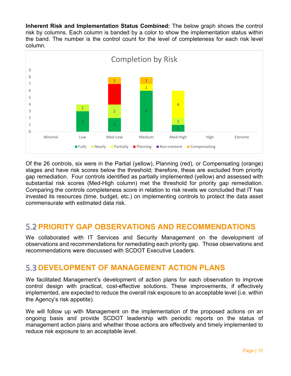**Inherent Risk and Implementation Status Combined:** The below graph shows the control risk by columns. Each column is banded by a color to show the implementation status within the band. The number is the control count for the level of completeness for each risk level column.



Of the 26 controls, six were in the Partial (yellow), Planning (red), or Compensating (orange) stages and have risk scores below the threshold; therefore, these are excluded from priority gap remediation. Four controls identified as partially implemented (yellow) and assessed with substantial risk scores (Med-High column) met the threshold for priority gap remediation. Comparing the controls completeness score in relation to risk revels we concluded that IT has invested its resources (time, budget, etc.) on implementing controls to protect the data asset commensurate with estimated data risk.

## **5.2 PRIORITY GAP OBSERVATIONS AND RECOMMENDATIONS**

We collaborated with IT Services and Security Management on the development of observations and recommendations for remediating each priority gap. Those observations and recommendations were discussed with SCDOT Executive Leaders.

### **5.3 DEVELOPMENT OF MANAGEMENT ACTION PLANS**

We facilitated Management's development of action plans for each observation to improve control design with practical, cost-effective solutions. These improvements, if effectively implemented, are expected to reduce the overall risk exposure to an acceptable level (i.e. within the Agency's risk appetite).

We will follow up with Management on the implementation of the proposed actions on an ongoing basis and provide SCDOT leadership with periodic reports on the status of management action plans and whether those actions are effectively and timely implemented to reduce risk exposure to an acceptable level.